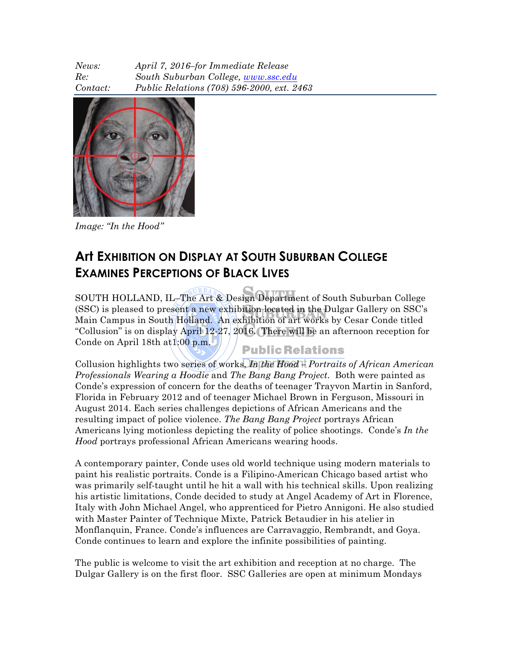| News:    | April 7, 2016-for Immediate Release        |
|----------|--------------------------------------------|
| Re:      | South Suburban College, www.ssc.edu        |
| Contact: | Public Relations (708) 596-2000, ext. 2463 |



*Image: "In the Hood"*

## **Art EXHIBITION ON DISPLAY AT SOUTH SUBURBAN COLLEGE EXAMINES PERCEPTIONS OF BLACK LIVES**

SOUTH HOLLAND, IL–The Art & Design Department of South Suburban College (SSC) is pleased to present a new exhibition located in the Dulgar Gallery on SSC's Main Campus in South Holland. An exhibition of art works by Cesar Conde titled "Collusion" is on display April 12-27, 2016. There will be an afternoon reception for Conde on April 18th at1:00 p.m. **Public Relations** 

Collusion highlights two series of works, *In the Hood – Portraits of African American Professionals Wearing a Hoodie* and *The Bang Bang Project*. Both were painted as Conde's expression of concern for the deaths of teenager Trayvon Martin in Sanford, Florida in February 2012 and of teenager Michael Brown in Ferguson, Missouri in August 2014. Each series challenges depictions of African Americans and the resulting impact of police violence. *The Bang Bang Project* portrays African Americans lying motionless depicting the reality of police shootings. Conde's *In the Hood* portrays professional African Americans wearing hoods.

A contemporary painter, Conde uses old world technique using modern materials to paint his realistic portraits. Conde is a Filipino-American Chicago based artist who was primarily self-taught until he hit a wall with his technical skills. Upon realizing his artistic limitations, Conde decided to study at Angel Academy of Art in Florence, Italy with John Michael Angel, who apprenticed for Pietro Annigoni. He also studied with Master Painter of Technique Mixte, Patrick Betaudier in his atelier in Monflanquin, France. Conde's influences are Carravaggio, Rembrandt, and Goya. Conde continues to learn and explore the infinite possibilities of painting.

The public is welcome to visit the art exhibition and reception at no charge. The Dulgar Gallery is on the first floor. SSC Galleries are open at minimum Mondays